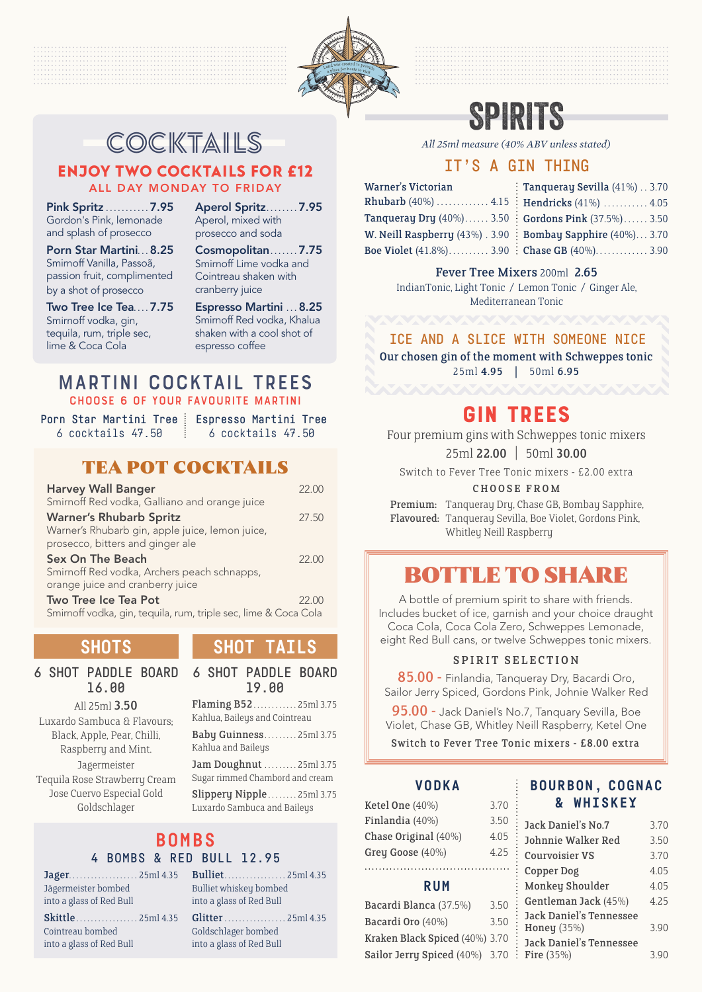

# COCKTAILS

#### enjoy two cocktails for £12 all day monday to friday

Pink Spritz . . . . . . . . . . . 7.95 Gordon's Pink, lemonade and splash of prosecco

Porn Star Martini... 8.25 Smirnoff Vanilla, Passoã, passion fruit, complimented by a shot of prosecco

Two Tree Ice Tea.... 7.75 Smirnoff vodka, gin, tequila, rum, triple sec, lime & Coca Cola

Aperol Spritz........7.95 Aperol, mixed with prosecco and soda

Cosmopolitan ....... 7.75 Smirnoff Lime vodka and Cointreau shaken with cranberry juice

Espresso Martini ... 8.25 Smirnoff Red vodka, Khalua shaken with a cool shot of espresso coffee

#### Martini Cocktail Trees Choose 6 of your favourite Martini

Porn Star Martini Tree Espresso Martini Tree 6 cocktails 47.50 6 cocktails 47.50

#### Tea pot cocktails

| <b>Harvey Wall Banger</b><br>Smirnoff Red vodka, Galliano and orange juice          | 22.00 |
|-------------------------------------------------------------------------------------|-------|
| <b>Warner's Rhubarb Spritz</b>                                                      | 27.50 |
| Warner's Rhubarb gin, apple juice, lemon juice,<br>prosecco, bitters and ginger ale |       |
| <b>Sex On The Beach</b>                                                             | 22.00 |
| Smirnoff Red vodka, Archers peach schnapps,                                         |       |
| orange juice and cranberry juice                                                    |       |
| Two Tree Ice Tea Pot                                                                | 22.00 |
| Smirnoff vodka, gin, tequila, rum, triple sec, lime & Coca Cola                     |       |

#### **shots**

#### 6 shot paddle board 6 shot paddle board 16.00

All 25ml 3.50

Luxardo Sambuca & Flavours; Black, Apple, Pear, Chilli, Raspberry and Mint. Jagermeister Tequila Rose Strawberry Cream Jose Cuervo Especial Gold Goldschlager

#### **shot TAILS**

19.00

Flaming B52 . . . . . . . . . . . . 25ml 3.75 Kahlua, Baileus and Cointreau

Baby Guinness . . . . . . . . . 25ml 3.75 Kahlua and Baileys

Jam Doughnut ......... 25ml 3.75 Sugar rimmed Chambord and cream

Slippery Nipple . . . . . . . 25ml 3.75 Luxardo Sambuca and Baileys

#### **Bombs** 4 bombs & Red Bull 12.95

Jager. . . . . . . . . . . . . . . . . 25ml 4.35 Bulliet. . . . . . . . . . . . . . . 25ml 4.35 Jägermeister bombed into a glass of Red Bull

Skittle . . . . . . . . . . . . . . . . . 25ml 4.35

Cointreau bombed into a glass of Red Bull

Bulliet whiskey bombed into a glass of Red Bull Glitter . . . . . . . . . . . . . . . . . 25ml 4.35

Goldschlager bombed into a glass of Red Bull

# Spirits

*All 25ml measure (40% ABV unless stated)*

#### It's A Gin Thing

| : Tanqueray Sevilla $(41\%)$ 3.70                            |
|--------------------------------------------------------------|
| Rhubarb (40%)  4.15 : Hendricks (41%)  4.05                  |
| Tanqueray Dry (40%) 3.50 : Gordons Pink (37.5%) 3.50         |
| W. Neill Raspberry (43%) . 3.90 : Bombay Sapphire (40%) 3.70 |
| Boe Violet (41.8%) 3.90 : Chase GB (40%) 3.90                |
|                                                              |

Fever Tree Mixers 200ml 2.65

IndianTonic, Light Tonic / Lemon Tonic / Ginger Ale, Mediterranean Tonic

#### ice and a slice with someone nice

Our chosen gin of the moment with Schweppes tonic 25ml 4.95 | 50ml 6.95

## Gin Trees

Four premium gins with Schweppes tonic mixers

25ml 22.00 | 50ml 30.00

Switch to Fever Tree Tonic mixers - £2.00 extra

Choose from

Premium: Tanqueray Dry, Chase GB, Bombay Sapphire, Flavoured: Tanqueray Sevilla, Boe Violet, Gordons Pink, Whitley Neill Raspberry

## Bottle to Share

A bottle of premium spirit to share with friends. Includes bucket of ice, garnish and your choice draught Coca Cola, Coca Cola Zero, Schweppes Lemonade, eight Red Bull cans, or twelve Schweppes tonic mixers.

#### Spirit Selection

85.00 - Finlandia, Tanqueray Dry, Bacardi Oro, Sailor Jerry Spiced, Gordons Pink, Johnie Walker Red

95.00 - Jack Daniel's No.7, Tanquary Sevilla, Boe Violet, Chase GB, Whitley Neill Raspberry, Ketel One

Switch to Fever Tree Tonic mixers - £8.00 extra

#### **VODKA**

| Ketel One (40%)      | 3.70 |
|----------------------|------|
| Finlandia (40%)      | 3.50 |
| Chase Original (40%) | 4.05 |
| Grey Goose (40%)     | 4.25 |
|                      |      |

#### **RUM**

| Bacardi Blanca (37.5%)         | 3.50 |
|--------------------------------|------|
| Bacardi Oro (40%)              | 3.50 |
| Kraken Black Spiced (40%) 3.70 |      |
| Sailor Jerry Spiced (40%) 3.70 |      |

#### **Bourbon, Cognac & Whiskey**

| Jack Daniel's No.7                              | 3.70 |
|-------------------------------------------------|------|
| Johnnie Walker Red                              | 3.50 |
| <b>Courvoisier VS</b>                           | 3.70 |
| Copper Dog                                      | 4.05 |
| Monkey Shoulder                                 | 4.05 |
| Gentleman Jack (45%)                            | 425  |
| <b>Jack Daniel's Tennessee</b><br>Honey $(35%)$ | 3.90 |
| <b>Jack Daniel's Tennessee</b><br>Fire $(35%)$  | 3.9  |